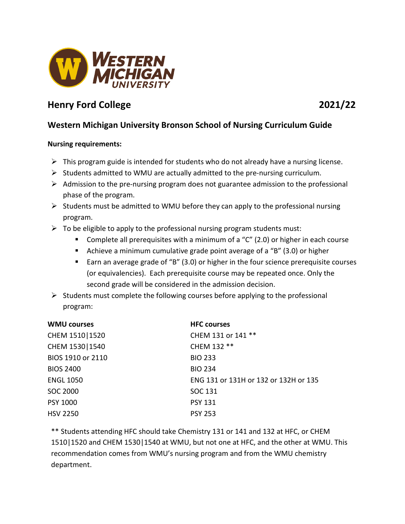

# **Henry Ford College 2021/22**

## **Western Michigan University Bronson School of Nursing Curriculum Guide**

### **Nursing requirements:**

- $\triangleright$  This program guide is intended for students who do not already have a nursing license.
- $\triangleright$  Students admitted to WMU are actually admitted to the pre-nursing curriculum.
- $\triangleright$  Admission to the pre-nursing program does not guarantee admission to the professional phase of the program.
- $\triangleright$  Students must be admitted to WMU before they can apply to the professional nursing program.
- $\triangleright$  To be eligible to apply to the professional nursing program students must:
	- **Complete all prerequisites with a minimum of a "C" (2.0) or higher in each course**
	- Achieve a minimum cumulative grade point average of a "B" (3.0) or higher
	- Earn an average grade of "B" (3.0) or higher in the four science prerequisite courses (or equivalencies). Each prerequisite course may be repeated once. Only the second grade will be considered in the admission decision.
- $\triangleright$  Students must complete the following courses before applying to the professional program:

| <b>WMU courses</b> | <b>HFC courses</b>                    |
|--------------------|---------------------------------------|
| CHEM 1510   1520   | CHEM 131 or 141 **                    |
| CHEM 1530   1540   | CHEM 132 **                           |
| BIOS 1910 or 2110  | <b>BIO 233</b>                        |
| <b>BIOS 2400</b>   | <b>BIO 234</b>                        |
| <b>ENGL 1050</b>   | ENG 131 or 131H or 132 or 132H or 135 |
| <b>SOC 2000</b>    | SOC 131                               |
| <b>PSY 1000</b>    | <b>PSY 131</b>                        |
| <b>HSV 2250</b>    | <b>PSY 253</b>                        |

\*\* Students attending HFC should take Chemistry 131 or 141 and 132 at HFC, or CHEM 1510|1520 and CHEM 1530|1540 at WMU, but not one at HFC, and the other at WMU. This recommendation comes from WMU's nursing program and from the WMU chemistry department.